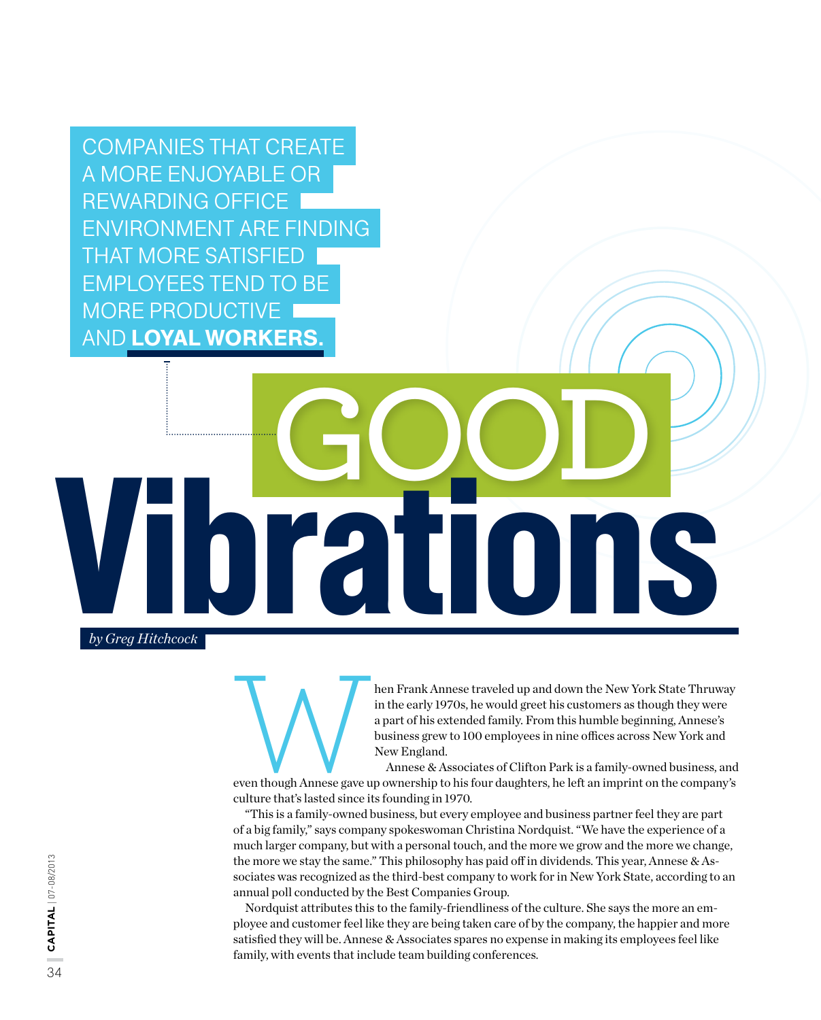Companies that create a more enjoyable or rewarding office environment are finding THAT MORE SATISFIED I employees tend to be more productive **AND LOYAL WORKERS.** 

## Vibrations **GOOD**

*by Greg Hitchcock*

hen Frank Annese traveled up and down the New York State Thruway<br>in the early 1970s, he would greet his customers as though they were<br>a part of his extended family. From this humble beginning, Annese's<br>business grew to 100 in the early 1970s, he would greet his customers as though they were a part of his extended family. From this humble beginning, Annese's business grew to 100 employees in nine offices across New York and New England.

Annese & Associates of Clifton Park is a family-owned business, and even though Annese gave up ownership to his four daughters, he left an imprint on the company's culture that's lasted since its founding in 1970.

"This is a family-owned business, but every employee and business partner feel they are part of a big family," says company spokeswoman Christina Nordquist. "We have the experience of a much larger company, but with a personal touch, and the more we grow and the more we change, the more we stay the same." This philosophy has paid off in dividends. This year, Annese  $\&$  Associates was recognized as the third-best company to work for in New York State, according to an annual poll conducted by the Best Companies Group.

Nordquist attributes this to the family-friendliness of the culture. She says the more an employee and customer feel like they are being taken care of by the company, the happier and more satisfied they will be. Annese & Associates spares no expense in making its employees feel like family, with events that include team building conferences.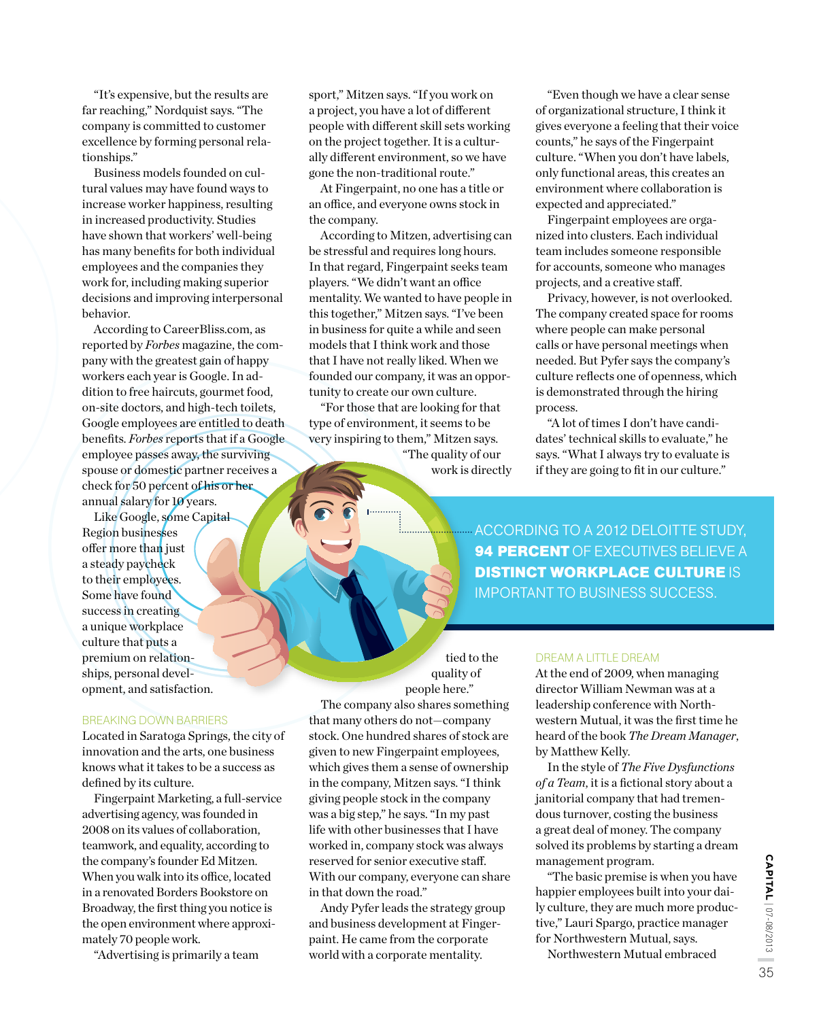"It's expensive, but the results are far reaching," Nordquist says. "The company is committed to customer excellence by forming personal relationships."

Business models founded on cultural values may have found ways to increase worker happiness, resulting in increased productivity. Studies have shown that workers' well-being has many benefits for both individual employees and the companies they work for, including making superior decisions and improving interpersonal behavior.

According to CareerBliss.com, as reported by *Forbes* magazine, the company with the greatest gain of happy workers each year is Google. In addition to free haircuts, gourmet food, on-site doctors, and high-tech toilets, Google employees are entitled to death benefits. *Forbes* reports that if a Google employee passes away, the surviving spouse or domestic partner receives a check for 50 percent of his or her annual salary for 10 years.

Like Google, some Capital Region businesses offer more than just a steady paycheck to their employees. Some have found success in creating a unique workplace culture that puts a premium on relationships, personal development, and satisfaction. COORDING TO A 2012 DELOITTE STUDY,<br>
Like Google, some Capital<br>
Region businesses<br>
offer more than just<br>
a steady paycheck<br>
to their employees.<br>
Some have found<br>
sunique workplace<br>
sunique workplace<br>
a premium on relation-<br>

## Breaking Down Barriers

Located in Saratoga Springs, the city of innovation and the arts, one business knows what it takes to be a success as defined by its culture.

Fingerpaint Marketing, a full-service advertising agency, was founded in 2008 on its values of collaboration, teamwork, and equality, according to the company's founder Ed Mitzen. When you walk into its office, located in a renovated Borders Bookstore on Broadway, the first thing you notice is the open environment where approximately 70 people work.

"Advertising is primarily a team

sport," Mitzen says. "If you work on a project, you have a lot of different people with different skill sets working on the project together. It is a culturally different environment, so we have gone the non-traditional route."

At Fingerpaint, no one has a title or an office, and everyone owns stock in the company.

According to Mitzen, advertising can be stressful and requires long hours. In that regard, Fingerpaint seeks team players. "We didn't want an office mentality. We wanted to have people in this together," Mitzen says. "I've been in business for quite a while and seen models that I think work and those that I have not really liked. When we founded our company, it was an opportunity to create our own culture.

"For those that are looking for that type of environment, it seems to be very inspiring to them," Mitzen says. "The quality of our

The company also shares something that many others do not—company stock. One hundred shares of stock are given to new Fingerpaint employees, which gives them a sense of ownership in the company, Mitzen says. "I think giving people stock in the company was a big step," he says. "In my past life with other businesses that I have worked in, company stock was always reserved for senior executive staff. With our company, everyone can share

Andy Pyfer leads the strategy group and business development at Fingerpaint. He came from the corporate world with a corporate mentality.

in that down the road."

work is directly

tied to the quality of people here."

"Even though we have a clear sense of organizational structure, I think it gives everyone a feeling that their voice counts," he says of the Fingerpaint culture. "When you don't have labels, only functional areas, this creates an environment where collaboration is expected and appreciated."

Fingerpaint employees are organized into clusters. Each individual team includes someone responsible for accounts, someone who manages projects, and a creative staff.

Privacy, however, is not overlooked. The company created space for rooms where people can make personal calls or have personal meetings when needed. But Pyfer says the company's culture reflects one of openness, which is demonstrated through the hiring process.

"A lot of times I don't have candidates' technical skills to evaluate," he says. "What I always try to evaluate is if they are going to fit in our culture."

**94 PERCENT OF EXECUTIVES BELIEVE A DISTINCT WORKPLACE CULTURE IS** important to business success.

## DREAM A LITTLE DREAM

At the end of 2009, when managing director William Newman was at a leadership conference with Northwestern Mutual, it was the first time he heard of the book *The Dream Manager*, by Matthew Kelly.

In the style of *The Five Dysfunctions of a Team*, it is a fictional story about a janitorial company that had tremendous turnover, costing the business a great deal of money. The company solved its problems by starting a dream management program.

"The basic premise is when you have happier employees built into your daily culture, they are much more productive," Lauri Spargo, practice manager for Northwestern Mutual, says.

Northwestern Mutual embraced

**CAPITAL** | 07-08/2013 35**capital** | 07-08/2013